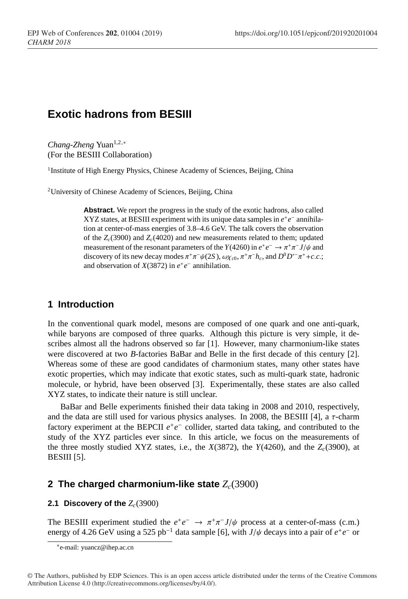# **Exotic hadrons from BESIII**

*Chang-Zheng* Yuan<sup>1,2,∗</sup> (For the BESIII Collaboration)

<sup>1</sup> Institute of High Energy Physics, Chinese Academy of Sciences, Beijing, China

<sup>2</sup>University of Chinese Academy of Sciences, Beijing, China

**Abstract.** We report the progress in the study of the exotic hadrons, also called XYZ states, at BESIII experiment with its unique data samples in  $e^+e^-$  annihilation at center-of-mass energies of 3.8–4.6 GeV. The talk covers the observation of the *Zc*(3900) and *Zc*(4020) and new measurements related to them; updated measurement of the resonant parameters of the *Y*(4260) in  $e^+e^- \rightarrow \pi^+\pi^- J/\psi$  and discovery of its new decay modes  $\pi^+\pi^-\psi(2S)$ ,  $\omega\chi_{c0}$ ,  $\pi^+\pi^-h_c$ , and  $D^0D^{*-}\pi^+$ +*c*.*c*.; and observation of  $X(3872)$  in  $e^+e^-$  annihilation.

## **1 Introduction**

In the conventional quark model, mesons are composed of one quark and one anti-quark, while baryons are composed of three quarks. Although this picture is very simple, it describes almost all the hadrons observed so far [1]. However, many charmonium-like states were discovered at two *B*-factories BaBar and Belle in the first decade of this century [2]. Whereas some of these are good candidates of charmonium states, many other states have exotic properties, which may indicate that exotic states, such as multi-quark state, hadronic molecule, or hybrid, have been observed [3]. Experimentally, these states are also called XYZ states, to indicate their nature is still unclear.

BaBar and Belle experiments finished their data taking in 2008 and 2010, respectively, and the data are still used for various physics analyses. In 2008, the BESIII [4], a  $\tau$ -charm factory experiment at the BEPCII  $e^+e^-$  collider, started data taking, and contributed to the study of the XYZ particles ever since. In this article, we focus on the measurements of the three mostly studied XYZ states, i.e., the  $X(3872)$ , the  $Y(4260)$ , and the  $Z_c(3900)$ , at BESIII [5].

## **2 The charged charmonium-like state**  $Z_c(3900)$

#### **2.1 Discovery of the**  $Z_c(3900)$

The BESIII experiment studied the  $e^+e^- \rightarrow \pi^+\pi^- J/\psi$  process at a center-of-mass (c.m.) energy of 4.26 GeV using a 525 pb<sup>-1</sup> data sample [6], with *J*/ $\psi$  decays into a pair of *e*<sup>+</sup>*e*<sup>−</sup> or

<sup>∗</sup> e-mail: yuancz@ihep.ac.cn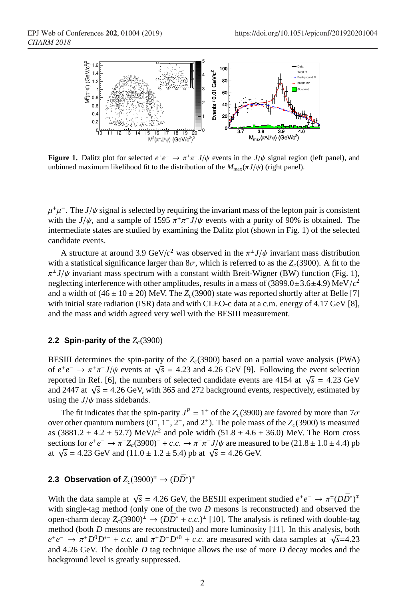

**Figure 1.** Dalitz plot for selected  $e^+e^- \to \pi^+\pi^- J/\psi$  events in the  $J/\psi$  signal region (left panel), and unbinned maximum likelihood fit to the distribution of the  $M_{\text{max}}(\pi J/\psi)$  (right panel).

 $\mu^+\mu^-$ . The *J*/ $\psi$  signal is selected by requiring the invariant mass of the lepton pair is consistent with the  $J/\psi$ , and a sample of 1595  $\pi^{+}\pi^{-}J/\psi$  events with a purity of 90% is obtained. The intermediate states are studied by examining the Dalitz plot (shown in Fig. 1) of the selected candidate events.

A structure at around 3.9 GeV/ $c^2$  was observed in the  $\pi^{\pm} J/\psi$  invariant mass distribution with a statistical significance larger than  $8\sigma$ , which is referred to as the  $Z_c(3900)$ . A fit to the  $\pi^{\pm}J/\psi$  invariant mass spectrum with a constant width Breit-Wigner (BW) function (Fig. 1), neglecting interference with other amplitudes, results in a mass of (3899.0±3.6±4.9) MeV/*c* 2 and a width of  $(46 \pm 10 \pm 20)$  MeV. The  $Z_c(3900)$  state was reported shortly after at Belle [7] with initial state radiation (ISR) data and with CLEO-c data at a c.m. energy of 4.17 GeV [8], and the mass and width agreed very well with the BESIII measurement.

#### **2.2 Spin-parity of the**  $Z_c(3900)$

BESIII determines the spin-parity of the  $Z_c$ (3900) based on a partial wave analysis (PWA) **below** the spin-party of the  $\mathcal{L}_c$ (5900) based on a partial wave analysis (FWA) of  $e^+e^- \rightarrow \pi^+\pi^- J/\psi$  events at  $\sqrt{s} = 4.23$  and 4.26 GeV [9]. Following the event selection reported in Ref. [6], the numbers of selected candidate events are 4154 at  $\sqrt{s}$  = 4.23 GeV reported in Ker. [0], the numbers of selected candidate events are 4154 at  $\sqrt{s}$  = 4.25 GeV and 2447 at  $\sqrt{s}$  = 4.26 GeV, with 365 and 272 background events, respectively, estimated by using the  $J/\psi$  mass sidebands.

The fit indicates that the spin-parity  $J^P = 1^+$  of the  $Z_c(3900)$  are favored by more than  $7\sigma$ over other quantum numbers (0<sup>-</sup>, 1<sup>-</sup>, 2<sup>-</sup>, and 2<sup>+</sup>). The pole mass of the *Z<sub>c</sub>*(3900) is measured as  $(3881.2 \pm 4.2 \pm 52.7)$  MeV/ $c^2$  and pole width  $(51.8 \pm 4.6 \pm 36.0)$  MeV. The Born cross sections for  $e^+e^- \to \pi^+ Z_c(3900)^- + c.c. \to \pi^+\pi^- J/\psi$  are measured to be  $(21.8 \pm 1.0 \pm 4.4)$  pb sections for  $e^+e^- \rightarrow \pi^- Z_c(3900) + c.c. \rightarrow \pi^- \pi^- \pi^+ \eta^+ \eta^-$  are measured at  $\sqrt{s} = 4.23$  GeV and  $(11.0 \pm 1.2 \pm 5.4)$  pb at  $\sqrt{s} = 4.26$  GeV.

## **2.3 Observation of**  $Z_c(3900)^{\mp} \rightarrow (D\bar{D}^*)^{\mp}$

With the data sample at  $\sqrt{s} = 4.26$  GeV, the BESIII experiment studied  $e^+e^- \to \pi^{\pm}(D\bar{D}^*)^{\mp}$ with single-tag method (only one of the two *D* mesons is reconstructed) and observed the open-charm decay  $Z_c(3900)^{\pm} \rightarrow (D\bar{D}^* + c.c.)^{\pm}$  [10]. The analysis is refined with double-tag method (both *D* mesons are reconstructed) and more luminosity [11]. In this analysis, both  $e^+e^- \rightarrow \pi^+D^0D^{*-} + c.c.$  and  $\pi^+D^-D^{*0} + c.c.$  are measured with data samples at  $\sqrt{s}$ =4.23 and 4.26 GeV. The double *D* tag technique allows the use of more *D* decay modes and the background level is greatly suppressed.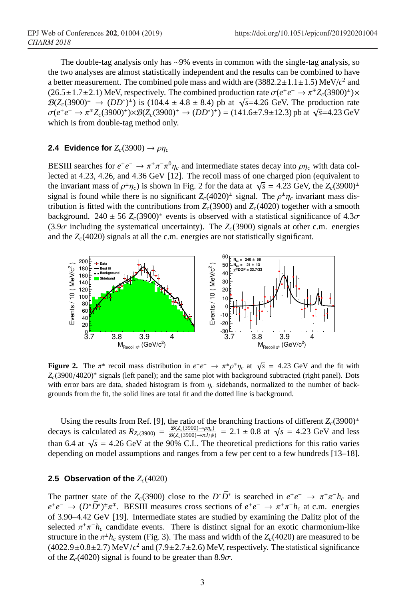The double-tag analysis only has ∼9% events in common with the single-tag analysis, so the two analyses are almost statistically independent and the results can be combined to have a better measurement. The combined pole mass and width are  $(3882.2 \pm 1.1 \pm 1.5)$  MeV/ $c^2$  and  $(26.5 \pm 1.7 \pm 2.1)$  MeV, respectively. The combined production rate  $\sigma(e^+e^- \to \pi^{\mp}Z_c(3900)^{\pm}) \times$  $B(Z_c(3900)^{\pm} \to (DD^*)^{\pm})$  is (104.4 ± 4.8 ± 8.4) pb at  $\sqrt{s}$ =4.26 GeV. The production rate  $\sigma(e^+e^- \to \pi^+ Z_c(3900)^+) \times \mathcal{B}(Z_c(3900)^+ \to (DD^*)^+) = (141.6 \pm 7.9 \pm 12.3)$  pb at  $\sqrt{s} = 4.23$  GeV which is from double-tag method only.

#### **2.4 Evidence for**  $Z_c(3900) \rightarrow \rho \eta_c$

BESIII searches for  $e^+e^- \to \pi^+\pi^-\pi^0\eta_c$  and intermediate states decay into  $\rho\eta_c$  with data collected at 4.23, 4.26, and 4.36 GeV [12]. The recoil mass of one charged pion (equivalent to the invariant mass of  $\rho^{\pm} \eta_c$  is shown in Fig. 2 for the data at  $\sqrt{s} = 4.23$  GeV, the  $Z_c(3900)^\pm$ signal is found while there is no significant  $Z_c(4020)^{\pm}$  signal. The  $\rho^{\pm}\eta_c$  invariant mass distribution is fitted with the contributions from  $Z_c(3900)$  and  $Z_c(4020)$  together with a smooth background.  $240 \pm 56$   $Z_c(3900)^{\pm}$  events is observed with a statistical significance of  $4.3\sigma$  $(3.9\sigma$  including the systematical uncertainty). The  $Z_c(3900)$  signals at other c.m. energies and the  $Z_c(4020)$  signals at all the c.m. energies are not statistically significant.



**Figure 2.** The  $\pi^{\pm}$  recoil mass distribution in  $e^+e^- \to \pi^{\pm}\rho^{\mp}\eta_c$  at  $\sqrt{s} = 4.23$  GeV and the fit with Z<sub>c</sub>(3900/4020)<sup>+</sup> signals (left panel); and the same plot with background subtracted (right panel). Dots with error bars are data, shaded histogram is from  $\eta_c$  sidebands, normalized to the number of backgrounds from the fit, the solid lines are total fit and the dotted line is background.

Using the results from Ref. [9], the ratio of the branching fractions of different  $Z_c(3900)^{\pm}$ decays is calculated as  $R_{Z_c(3900)} = \frac{\mathcal{B}(Z_c(3900) \rightarrow \rho \eta_c)}{\mathcal{B}(Z_c(3900) \rightarrow \pi J/\psi}$  $\frac{\mathcal{B}(Z_c(3900) \rightarrow \eta_1 c)}{\mathcal{B}(Z_c(3900) \rightarrow \eta_1/\psi)} = 2.1 \pm 0.8$  at  $\sqrt{s} = 4.23$  GeV and less than 6.4 at  $\sqrt{s}$  = 4.26 GeV at the 90% C.L. The theoretical predictions for this ratio varies depending on model assumptions and ranges from a few per cent to a few hundreds [13–18].

#### **2.5 Observation of the**  $Z_c(4020)$

The partner state of the  $Z_c(3900)$  close to the  $D^*\bar{D}^*$  is searched in  $e^+e^- \to \pi^+\pi^-h_c$  and  $e^+e^- \rightarrow (D^*\bar{D}^*)^{\pm}\pi^{\mp}$ . BESIII measures cross sections of  $e^+e^- \rightarrow \pi^+\pi^-h_c$  at c.m. energies of 3.90–4.42 GeV [19]. Intermediate states are studied by examining the Dalitz plot of the selected  $\pi^+\pi^-h_c$  candidate events. There is distinct signal for an exotic charmonium-like structure in the  $\pi^{\pm}h_c$  system (Fig. 3). The mass and width of the  $Z_c(4020)$  are measured to be  $(4022.9\pm0.8\pm2.7)$  MeV/ $c^2$  and  $(7.9\pm2.7\pm2.6)$  MeV, respectively. The statistical significance of the  $Z_c(4020)$  signal is found to be greater than 8.9 $\sigma$ .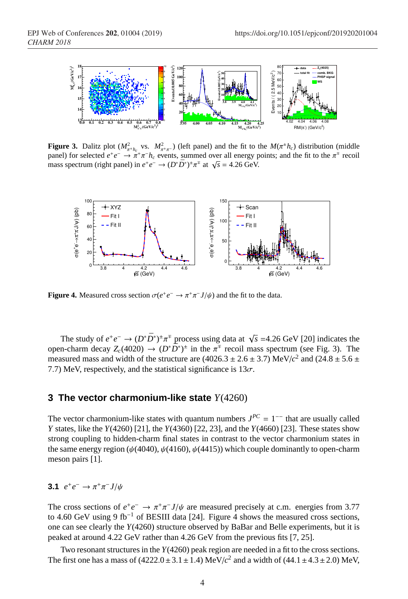

**Figure 3.** Dalitz plot  $(M_{\pi^+ h_c}^2$  vs.  $M_{\pi^+ \pi^-}^2)$  (left panel) and the fit to the  $M(\pi^+ h_c)$  distribution (middle panel) for selected  $e^+e^- \to \pi^+\pi^-h_c$  events, summed over all energy points; and the fit to the  $\pi^+$  recoil panel) for selected  $e^+e^- \rightarrow \pi^+ \pi^- i_e$  events, summed over an energy  $\mu$  mass spectrum (right panel) in  $e^+e^- \rightarrow (D^* \bar{D}^*)^{\pm} \pi^{\mp}$  at  $\sqrt{s} = 4.26$  GeV.



**Figure 4.** Measured cross section  $\sigma(e^+e^- \to \pi^+\pi^-J/\psi)$  and the fit to the data.

The study of  $e^+e^- \to (D^*\bar{D}^*)^{\pm}\pi^{\mp}$  process using data at  $\sqrt{s}$  =4.26 GeV [20] indicates the open-charm decay  $Z_c(4020) \rightarrow (D^*\bar{D}^*)^{\pm}$  in the  $\pi^{\mp}$  recoil mass spectrum (see Fig. 3). The measured mass and width of the structure are  $(4026.3 \pm 2.6 \pm 3.7)$  MeV/ $c^2$  and  $(24.8 \pm 5.6 \pm 3.7)$ 7.7) MeV, respectively, and the statistical significance is  $13\sigma$ .

#### **3 The vector charmonium-like state** *Y*(4260)

The vector charmonium-like states with quantum numbers  $J^{PC} = 1^{-1}$  that are usually called *Y* states, like the *Y*(4260) [21], the *Y*(4360) [22, 23], and the *Y*(4660) [23]. These states show strong coupling to hidden-charm final states in contrast to the vector charmonium states in the same energy region ( $\psi$ (4040),  $\psi$ (4160),  $\psi$ (4415)) which couple dominantly to open-charm meson pairs [1].

$$
3.1 e^+e^- \rightarrow \pi^+\pi^-J/\psi
$$

The cross sections of  $e^+e^- \to \pi^+\pi^- J/\psi$  are measured precisely at c.m. energies from 3.77 to 4.60 GeV using 9 fb<sup>-1</sup> of BESIII data [24]. Figure 4 shows the measured cross sections, one can see clearly the *Y*(4260) structure observed by BaBar and Belle experiments, but it is peaked at around 4.22 GeV rather than 4.26 GeV from the previous fits [7, 25].

Two resonant structures in the *Y*(4260) peak region are needed in a fit to the cross sections. The first one has a mass of  $(4222.0 \pm 3.1 \pm 1.4) \text{ MeV}/c^2$  and a width of  $(44.1 \pm 4.3 \pm 2.0) \text{ MeV}$ ,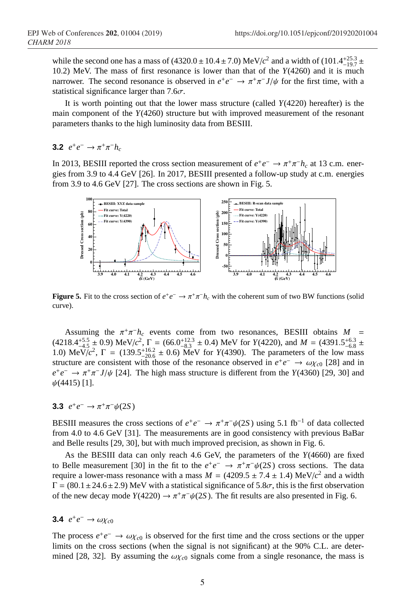while the second one has a mass of  $(4320.0 \pm 10.4 \pm 7.0)$  MeV/ $c^2$  and a width of  $(101.4^{+25.3}_{-19.7} \pm 1.0)$ 10.2) MeV. The mass of first resonance is lower than that of the *Y*(4260) and it is much narrower. The second resonance is observed in  $e^+e^- \to \pi^+\pi^- J/\psi$  for the first time, with a statistical significance larger than  $7.6\sigma$ .

It is worth pointing out that the lower mass structure (called *Y*(4220) hereafter) is the main component of the *Y*(4260) structure but with improved measurement of the resonant parameters thanks to the high luminosity data from BESIII.

**3.2**  $e^+e^- \to \pi^+\pi^-h_c$ 

In 2013, BESIII reported the cross section measurement of  $e^+e^- \rightarrow \pi^+\pi^-h_c$  at 13 c.m. energies from 3.9 to 4.4 GeV [26]. In 2017, BESIII presented a follow-up study at c.m. energies from 3.9 to 4.6 GeV [27]. The cross sections are shown in Fig. 5.



**Figure 5.** Fit to the cross section of  $e^+e^- \to \pi^+\pi^-h_c$  with the coherent sum of two BW functions (solid curve).

Assuming the  $\pi^+\pi^-h_c$  events come from two resonances, BESIII obtains  $M =$  $(4218.4^{+5.5}_{-4.5} \pm 0.9)$  MeV/ $c^2$ ,  $\Gamma = (66.0^{+12.3}_{-8.3} \pm 0.4)$  MeV for *Y*(4220), and *M* = (4391.5<sup>+6.3</sup>  $\pm$ 1.0) MeV/ $c^2$ ,  $\Gamma = (139.5^{+16.2}_{-20.6} \pm 0.6)$  MeV for *Y*(4390). The parameters of the low mass structure are consistent with those of the resonance observed in  $e^+e^- \to \omega \chi_{c0}$  [28] and in  $e^+e^- \rightarrow \pi^+\pi^- J/\psi$  [24]. The high mass structure is different from the *Y*(4360) [29, 30] and  $\psi(4415)$  [1].

### **3.3**  $e^+e^- \to \pi^+\pi^-\psi(2S)$

BESIII measures the cross sections of  $e^+e^- \to \pi^+\pi^-\psi(2S)$  using 5.1 fb<sup>-1</sup> of data collected from 4.0 to 4.6 GeV [31]. The measurements are in good consistency with previous BaBar and Belle results [29, 30], but with much improved precision, as shown in Fig. 6.

As the BESIII data can only reach 4.6 GeV, the parameters of the *Y*(4660) are fixed to Belle measurement [30] in the fit to the  $e^+e^- \rightarrow \pi^+\pi^-\psi(2S)$  cross sections. The data require a lower-mass resonance with a mass  $M = (4209.5 \pm 7.4 \pm 1.4) \text{ MeV}/c^2$  and a width  $\Gamma = (80.1 \pm 24.6 \pm 2.9)$  MeV with a statistical significance of 5.8 $\sigma$ , this is the first observation of the new decay mode  $Y(4220) \rightarrow \pi^+\pi^-\psi(2S)$ . The fit results are also presented in Fig. 6.

## **3.4**  $e^+e^- \to \omega \chi_{c0}$

The process  $e^+e^- \to \omega \chi_{c0}$  is observed for the first time and the cross sections or the upper limits on the cross sections (when the signal is not significant) at the 90% C.L. are determined [28, 32]. By assuming the  $\omega \chi_{c0}$  signals come from a single resonance, the mass is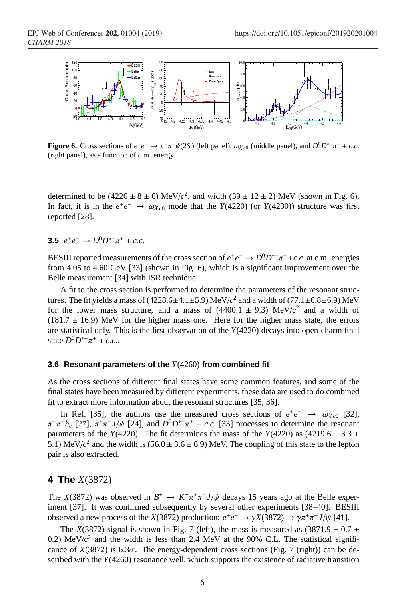

**Figure 6.** Cross sections of  $e^+e^- \to \pi^+\pi^-\psi(2S)$  (left panel),  $\omega\chi_{c0}$  (middle panel), and  $D^0D^{*-}\pi^+ + c.c.$ (right panel), as a function of c.m. energy.

determined to be  $(4226 \pm 8 \pm 6) \text{ MeV}/c^2$ , and width  $(39 \pm 12 \pm 2) \text{ MeV}$  (shown in Fig. 6). In fact, it is in the  $e^+e^- \rightarrow \omega \chi_{c0}$  mode that the *Y*(4220) (or *Y*(4230)) structure was first reported [28].

### **3.5**  $e^+e^- \to D^0D^{*-}\pi^+ + c.c.$

BESIII reported measurements of the cross section of  $e^+e^- \to D^0D^{*-}\pi^+ + c.c.$  at c.m. energies from 4.05 to 4.60 GeV [33] (shown in Fig. 6), which is a significant improvement over the Belle measurement [34] with ISR technique.

A fit to the cross section is performed to determine the parameters of the resonant structures. The fit yields a mass of  $(4228.6 \pm 4.1 \pm 5.9)$  MeV/ $c^2$  and a width of  $(77.1 \pm 6.8 \pm 6.9)$  MeV for the lower mass structure, and a mass of  $(4400.1 \pm 9.3)$  MeV/ $c^2$  and a width of  $(181.7 \pm 16.9)$  MeV for the higher mass one. Here for the higher mass state, the errors are statistical only. This is the first observation of the *Y*(4220) decays into open-charm final state  $D^0 D^{*-} \pi^+ + c.c..$ 

#### **3.6 Resonant parameters of the** *Y*(4260) **from combined fit**

As the cross sections of different final states have some common features, and some of the final states have been measured by different experiments, these data are used to do combined fit to extract more information about the resonant structures [35, 36].

In Ref. [35], the authors use the measured cross sections of  $e^+e^- \rightarrow \omega \chi_{c0}$  [32],  $\pi^+\pi^-h_c$  [27],  $\pi^+\pi^-J/\psi$  [24], and  $D^0D^{*-}\pi^+ + c.c.$  [33] processes to determine the resonant parameters of the *Y*(4220). The fit determines the mass of the *Y*(4220) as (4219.6  $\pm$  3.3  $\pm$ 5.1) MeV/ $c^2$  and the width is (56.0  $\pm$  3.6  $\pm$  6.9) MeV. The coupling of this state to the lepton pair is also extracted.

## **4 The** *X*(3872)

The *X*(3872) was observed in  $B^{\pm} \to K^{\pm} \pi^+ \pi^- J/\psi$  decays 15 years ago at the Belle experiment [37]. It was confirmed subsequently by several other experiments [38–40]. BESIII observed a new process of the *X*(3872) production:  $e^+e^- \rightarrow \gamma X(3872) \rightarrow \gamma \pi^+ \pi^- J/\psi$  [41].

The *X*(3872) signal is shown in Fig. 7 (left), the mass is measured as (3871.9  $\pm$  0.7  $\pm$ 0.2)  $\text{MeV}/c^2$  and the width is less than 2.4 MeV at the 90% C.L. The statistical significance of  $X(3872)$  is  $6.3\sigma$ . The energy-dependent cross sections (Fig. 7 (right)) can be described with the *Y*(4260) resonance well, which supports the existence of radiative transition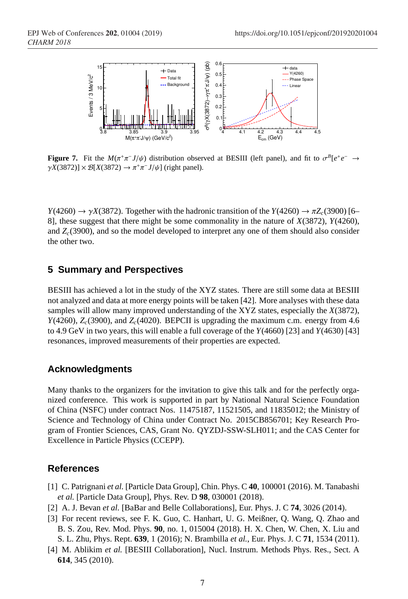

**Figure 7.** Fit the  $M(\pi^+\pi^-J/\psi)$  distribution observed at BESIII (left panel), and fit to  $\sigma^B[e^+e^- \to$  $\gamma X(3872) \rightarrow \pi^+ \pi^- J/\psi$ ] (right panel).

 $Y(4260) \rightarrow \gamma X(3872)$ . Together with the hadronic transition of the  $Y(4260) \rightarrow \pi Z_c(3900)$  [6– 8], these suggest that there might be some commonality in the nature of *X*(3872), *Y*(4260), and *Zc*(3900), and so the model developed to interpret any one of them should also consider the other two.

## **5 Summary and Perspectives**

BESIII has achieved a lot in the study of the XYZ states. There are still some data at BESIII not analyzed and data at more energy points will be taken [42]. More analyses with these data samples will allow many improved understanding of the XYZ states, especially the *X*(3872),  $Y(4260)$ ,  $Z_c(3900)$ , and  $Z_c(4020)$ . BEPCII is upgrading the maximum c.m. energy from 4.6 to 4.9 GeV in two years, this will enable a full coverage of the *Y*(4660) [23] and *Y*(4630) [43] resonances, improved measurements of their properties are expected.

### **Acknowledgments**

Many thanks to the organizers for the invitation to give this talk and for the perfectly organized conference. This work is supported in part by National Natural Science Foundation of China (NSFC) under contract Nos. 11475187, 11521505, and 11835012; the Ministry of Science and Technology of China under Contract No. 2015CB856701; Key Research Program of Frontier Sciences, CAS, Grant No. QYZDJ-SSW-SLH011; and the CAS Center for Excellence in Particle Physics (CCEPP).

### **References**

- [1] C. Patrignani *et al.* [Particle Data Group], Chin. Phys. C **40**, 100001 (2016). M. Tanabashi *et al.* [Particle Data Group], Phys. Rev. D **98**, 030001 (2018).
- [2] A. J. Bevan *et al.* [BaBar and Belle Collaborations], Eur. Phys. J. C **74**, 3026 (2014).
- [3] For recent reviews, see F. K. Guo, C. Hanhart, U. G. Meißner, Q. Wang, Q. Zhao and B. S. Zou, Rev. Mod. Phys. **90**, no. 1, 015004 (2018). H. X. Chen, W. Chen, X. Liu and S. L. Zhu, Phys. Rept. **639**, 1 (2016); N. Brambilla *et al.*, Eur. Phys. J. C **71**, 1534 (2011).
- [4] M. Ablikim *et al.* [BESIII Collaboration], Nucl. Instrum. Methods Phys. Res., Sect. A **614**, 345 (2010).